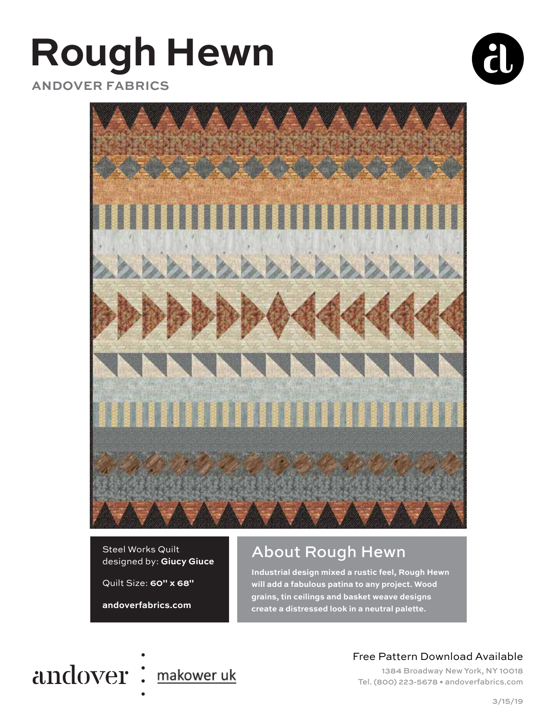# **Rough Hewn**



 **ANDOVER FABRICS**



#### Steel Works Quilt designed by: **Giucy Giuce**

Quilt Size: **60" x 68"**

**andoverfabrics.com**

# About Rough Hewn

**Industrial design mixed a rustic feel, Rough Hewn will add a fabulous patina to any project. Wood grains, tin ceilings and basket weave designs**  create a distressed look in a neutral palette.



# Free Pattern Download Available

1384 Broadway New York, NY 10018 Tel. (800) 223-5678 • andoverfabrics.com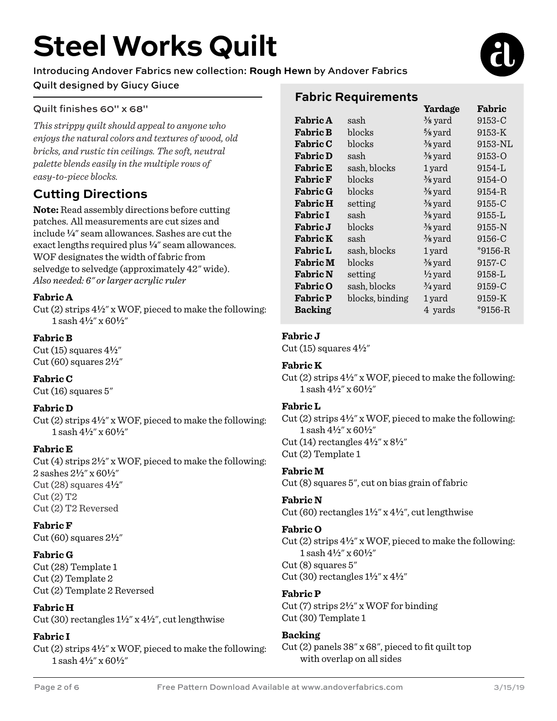# **Steel Works Quilt**

# Introducing Andover Fabrics new collection: **Rough Hewn** by Andover Fabrics Quilt designed by Giucy Giuce

# Quilt finishes 60" x 68"

*This strippy quilt should appeal to anyone who enjoys the natural colors and textures of wood, old bricks, and rustic tin ceilings. The soft, neutral palette blends easily in the multiple rows of easy-to-piece blocks.* 

# **Cutting Directions**

**Note:** Read assembly directions before cutting patches. All measurements are cut sizes and include **4**" seam allowances. Sashes are cut the exact lengths required plus  $\frac{1}{4}$ " seam allowances. WOF designates the width of fabric from selvedge to selvedge (approximately 42" wide). *Also needed: 6" or larger acrylic ruler* 

### **Fabric A**

Cut (2) strips 4**2**" x WOF, pieced to make the following: 1 sash 4**2**" x 60**2**"

## **Fabric B**

Cut  $(15)$  squares  $4\frac{1}{2}$ " Cut (60) squares 2**2**"

# **Fabric C**

Cut (16) squares 5"

# **Fabric D**

Cut (2) strips 4**2**" x WOF, pieced to make the following: 1 sash 4**2**" x 60**2**"

# **Fabric E**

Cut (4) strips 2**2**" x WOF, pieced to make the following: 2 sashes 2**2**" x 60**2**"  $Cut(28)$  squares  $4\frac{1}{2}$ " Cut (2) T2 Cut (2) T2 Reversed

### **Fabric F**

Cut (60) squares 2**2**"

# **Fabric G**

Cut (28) Template 1 Cut (2) Template 2 Cut (2) Template 2 Reversed

**Fabric H** Cut (30) rectangles  $1\frac{1}{2}$ " x  $4\frac{1}{2}$ ", cut lengthwise

### **Fabric I**

Cut (2) strips 4**2**" x WOF, pieced to make the following: 1 sash 4**2**" x 60**2**"

# **Fabric Requirements**

|                 |                 | Yardage            | Fabric      |
|-----------------|-----------------|--------------------|-------------|
| <b>Fabric A</b> | sash            | $\frac{3}{8}$ yard | 9153-C      |
| <b>Fabric B</b> | blocks          | $\frac{5}{8}$ yard | 9153-K      |
| <b>Fabric C</b> | blocks          | $\frac{3}{8}$ yard | 9153-NL     |
| <b>Fabric D</b> | sash            | $\frac{3}{8}$ yard | 9153-O      |
| <b>Fabric E</b> | sash, blocks    | 1 yard             | 9154-L      |
| <b>Fabric F</b> | blocks          | $\frac{3}{8}$ yard | 9154-O      |
| <b>Fabric G</b> | blocks          | $\frac{3}{8}$ yard | 9154-R      |
| <b>Fabric H</b> | setting         | $\frac{3}{8}$ yard | 9155-C      |
| <b>Fabric I</b> | sash            | $\frac{3}{8}$ yard | 9155-L      |
| <b>Fabric J</b> | blocks          | $\frac{3}{8}$ yard | 9155-N      |
| <b>Fabric K</b> | sash            | $\frac{3}{8}$ yard | 9156-C      |
| <b>Fabric L</b> | sash, blocks    | 1 yard             | $*9156 - R$ |
| <b>Fabric M</b> | blocks          | $\frac{3}{8}$ yard | 9157-C      |
| <b>Fabric N</b> | setting         | $\frac{1}{2}$ yard | 9158-L      |
| <b>Fabric O</b> | sash, blocks    | $\frac{3}{4}$ yard | 9159-C      |
| <b>Fabric P</b> | blocks, binding | 1 yard             | 9159-K      |
| <b>Backing</b>  |                 | 4 yards            | *9156-R     |
|                 |                 |                    |             |

# **Fabric J**

Cut  $(15)$  squares  $4\frac{1}{2}$ "

### **Fabric K**

Cut (2) strips 4**2**" x WOF, pieced to make the following: 1 sash 4**2**" x 60**2**"

### **Fabric L**

Cut (2) strips 4**2**" x WOF, pieced to make the following: 1 sash 4**2**" x 60**2**" Cut (14) rectangles 4**2**" x 8**2**" Cut (2) Template 1

**Fabric M**

Cut (8) squares 5", cut on bias grain of fabric

### **Fabric N**

Cut (60) rectangles  $1\frac{1}{2}$ " x  $4\frac{1}{2}$ ", cut lengthwise

### **Fabric O**

Cut (2) strips 4**2**" x WOF, pieced to make the following: 1 sash 4**2**" x 60**2**"  $Cut(8)$  squares  $5"$ Cut (30) rectangles 1**2**" x 4**2**"

# **Fabric P**

Cut (7) strips 2**2**" x WOF for binding Cut (30) Template 1

# **Backing**

Cut (2) panels 38" x 68", pieced to fit quilt top with overlap on all sides

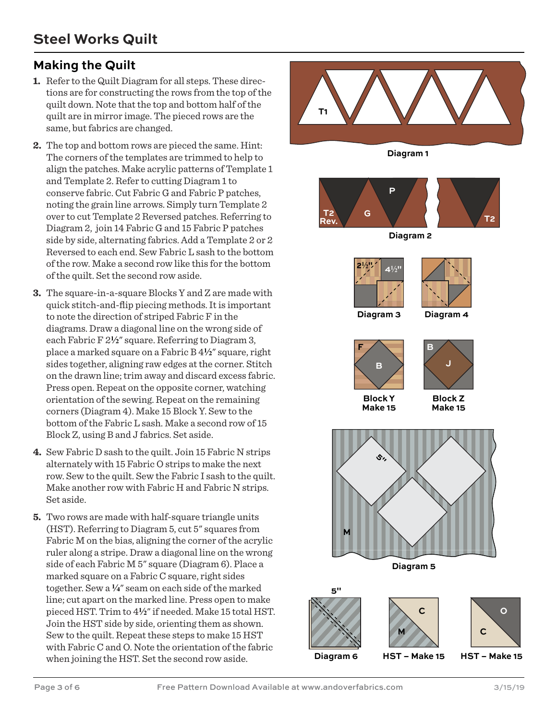# **Making the Quilt**

- **1.** Refer to the Quilt Diagram for all steps. These directions are for constructing the rows from the top of the quilt down. Note that the top and bottom half of the quilt are in mirror image. The pieced rows are the same, but fabrics are changed.
- **2.** The top and bottom rows are pieced the same. Hint: The corners of the templates are trimmed to help to align the patches. Make acrylic patterns of Template 1 and Template 2. Refer to cutting Diagram 1 to conserve fabric. Cut Fabric G and Fabric P patches, noting the grain line arrows. Simply turn Template 2 over to cut Template 2 Reversed patches. Referring to Diagram 2, join 14 Fabric G and 15 Fabric P patches side by side, alternating fabrics. Add a Template 2 or 2 Reversed to each end. Sew Fabric L sash to the bottom of the row. Make a second row like this for the bottom of the quilt. Set the second row aside.
- **3.** The square-in-a-square Blocks Y and Z are made with quick stitch-and-flip piecing methods. It is important to note the direction of striped Fabric F in the diagrams. Draw a diagonal line on the wrong side of each Fabric F 2**2**" square. Referring to Diagram 3, place a marked square on a Fabric B 4**2**" square, right sides together, aligning raw edges at the corner. Stitch on the drawn line; trim away and discard excess fabric. Press open. Repeat on the opposite corner, watching orientation of the sewing. Repeat on the remaining corners (Diagram 4). Make 15 Block Y. Sew to the bottom of the Fabric L sash. Make a second row of 15 Block Z, using B and J fabrics. Set aside.
- **4.** Sew Fabric D sash to the quilt. Join 15 Fabric N strips alternately with 15 Fabric O strips to make the next row. Sew to the quilt. Sew the Fabric I sash to the quilt. Make another row with Fabric H and Fabric N strips. Set aside.
- **5.** Two rows are made with half-square triangle units (HST). Referring to Diagram 5, cut 5" squares from Fabric M on the bias, aligning the corner of the acrylic ruler along a stripe. Draw a diagonal line on the wrong side of each Fabric M 5" square (Diagram 6). Place a marked square on a Fabric C square, right sides together. Sew a **4**" seam on each side of the marked line; cut apart on the marked line. Press open to make pieced HST. Trim to 4**2**" if needed. Make 15 total HST. Join the HST side by side, orienting them as shown. Sew to the quilt. Repeat these steps to make 15 HST with Fabric C and O. Note the orientation of the fabric when joining the HST. Set the second row aside.

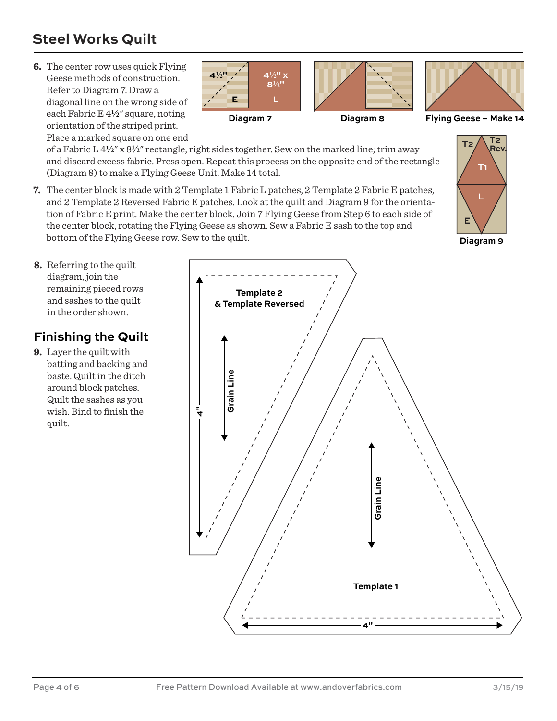# **Steel Works Quilt**

**6.** The center row uses quick Flying Geese methods of construction. Refer to Diagram 7. Draw a diagonal line on the wrong side of each Fabric E 4**2**" square, noting orientation of the striped print. Place a marked square on one end



of a Fabric L 4**2**" x 8**2**" rectangle, right sides together. Sew on the marked line; trim away and discard excess fabric. Press open. Repeat this process on the opposite end of the rectangle (Diagram 8) to make a Flying Geese Unit. Make 14 total.

**7.** The center block is made with 2 Template 1 Fabric L patches, 2 Template 2 Fabric E patches, and 2 Template 2 Reversed Fabric E patches. Look at the quilt and Diagram 9 for the orientation of Fabric E print. Make the center block. Join 7 Flying Geese from Step 6 to each side of the center block, rotating the Flying Geese as shown. Sew a Fabric E sash to the top and bottom of the Flying Geese row. Sew to the quilt.



**Diagram 9**

**8.** Referring to the quilt diagram, join the remaining pieced rows and sashes to the quilt in the order shown.

# **Finishing the Quilt**

**9.** Layer the quilt with batting and backing and baste. Quilt in the ditch around block patches. Quilt the sashes as you wish. Bind to finish the quilt.

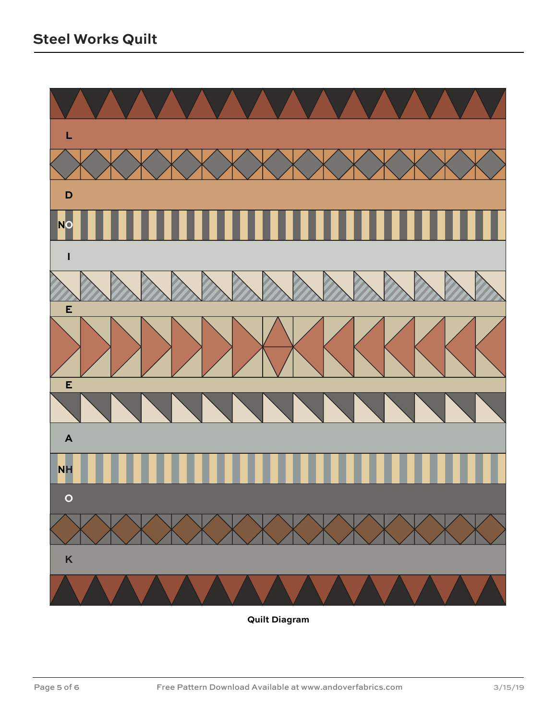

**Quilt Diagram**